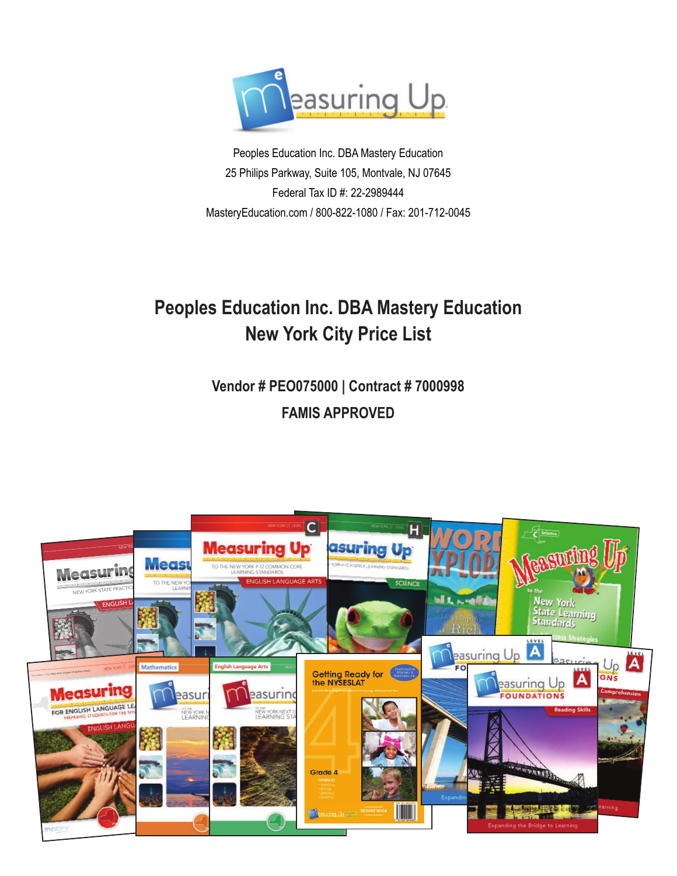

Peoples Education Inc. DBA Mastery Education 25 Philips Parkway, Suite 105, Montvale, NJ 07645 Federal Tax ID #: 22-2989444 MasteryEducation.com / 800-822-1080 / Fax: 201-712-0045

# **Peoples Education Inc. DBA Mastery Education New York City Price List**

**Vendor # PEO075000 | Contract # 7000998 FAMIS APPROVED** 

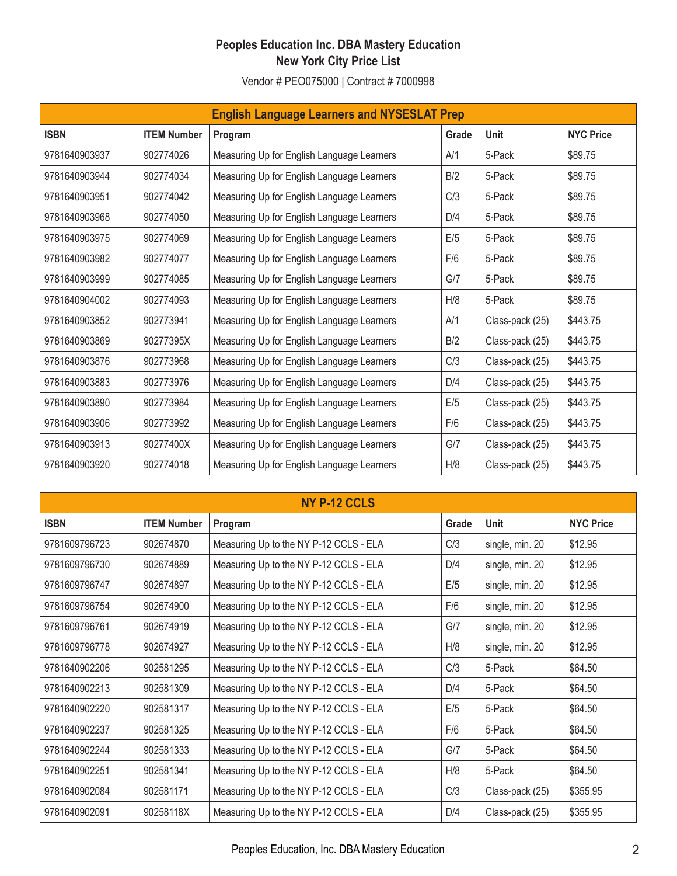| <b>English Language Learners and NYSESLAT Prep</b> |                    |                                            |       |                 |                  |  |  |  |  |
|----------------------------------------------------|--------------------|--------------------------------------------|-------|-----------------|------------------|--|--|--|--|
| <b>ISBN</b>                                        | <b>ITEM Number</b> | Program                                    | Grade | <b>Unit</b>     | <b>NYC Price</b> |  |  |  |  |
| 9781640903937                                      | 902774026          | Measuring Up for English Language Learners | A/1   | 5-Pack          | \$89.75          |  |  |  |  |
| 9781640903944                                      | 902774034          | Measuring Up for English Language Learners | B/2   | 5-Pack          | \$89.75          |  |  |  |  |
| 9781640903951                                      | 902774042          | Measuring Up for English Language Learners | C/3   | 5-Pack          | \$89.75          |  |  |  |  |
| 9781640903968                                      | 902774050          | Measuring Up for English Language Learners | D/4   | 5-Pack          | \$89.75          |  |  |  |  |
| 9781640903975                                      | 902774069          | Measuring Up for English Language Learners | E/5   | 5-Pack          | \$89.75          |  |  |  |  |
| 9781640903982                                      | 902774077          | Measuring Up for English Language Learners | F/6   | 5-Pack          | \$89.75          |  |  |  |  |
| 9781640903999                                      | 902774085          | Measuring Up for English Language Learners | G/7   | 5-Pack          | \$89.75          |  |  |  |  |
| 9781640904002                                      | 902774093          | Measuring Up for English Language Learners | H/8   | 5-Pack          | \$89.75          |  |  |  |  |
| 9781640903852                                      | 902773941          | Measuring Up for English Language Learners | A/1   | Class-pack (25) | \$443.75         |  |  |  |  |
| 9781640903869                                      | 90277395X          | Measuring Up for English Language Learners | B/2   | Class-pack (25) | \$443.75         |  |  |  |  |
| 9781640903876                                      | 902773968          | Measuring Up for English Language Learners | C/3   | Class-pack (25) | \$443.75         |  |  |  |  |
| 9781640903883                                      | 902773976          | Measuring Up for English Language Learners | D/4   | Class-pack (25) | \$443.75         |  |  |  |  |
| 9781640903890                                      | 902773984          | Measuring Up for English Language Learners | E/5   | Class-pack (25) | \$443.75         |  |  |  |  |
| 9781640903906                                      | 902773992          | Measuring Up for English Language Learners | F/6   | Class-pack (25) | \$443.75         |  |  |  |  |
| 9781640903913                                      | 90277400X          | Measuring Up for English Language Learners | G/7   | Class-pack (25) | \$443.75         |  |  |  |  |
| 9781640903920                                      | 902774018          | Measuring Up for English Language Learners | H/8   | Class-pack (25) | \$443.75         |  |  |  |  |

| NY P-12 CCLS  |                    |                                        |       |                 |                  |  |  |  |
|---------------|--------------------|----------------------------------------|-------|-----------------|------------------|--|--|--|
| <b>ISBN</b>   | <b>ITEM Number</b> | Program                                | Grade | <b>Unit</b>     | <b>NYC Price</b> |  |  |  |
| 9781609796723 | 902674870          | Measuring Up to the NY P-12 CCLS - ELA | C/3   | single, min. 20 | \$12.95          |  |  |  |
| 9781609796730 | 902674889          | Measuring Up to the NY P-12 CCLS - ELA | D/4   | single, min. 20 | \$12.95          |  |  |  |
| 9781609796747 | 902674897          | Measuring Up to the NY P-12 CCLS - ELA | E/5   | single, min. 20 | \$12.95          |  |  |  |
| 9781609796754 | 902674900          | Measuring Up to the NY P-12 CCLS - ELA | F/6   | single, min. 20 | \$12.95          |  |  |  |
| 9781609796761 | 902674919          | Measuring Up to the NY P-12 CCLS - ELA | G/7   | single, min. 20 | \$12.95          |  |  |  |
| 9781609796778 | 902674927          | Measuring Up to the NY P-12 CCLS - ELA | H/8   | single, min. 20 | \$12.95          |  |  |  |
| 9781640902206 | 902581295          | Measuring Up to the NY P-12 CCLS - ELA | C/3   | 5-Pack          | \$64.50          |  |  |  |
| 9781640902213 | 902581309          | Measuring Up to the NY P-12 CCLS - ELA | D/4   | 5-Pack          | \$64.50          |  |  |  |
| 9781640902220 | 902581317          | Measuring Up to the NY P-12 CCLS - ELA | E/5   | 5-Pack          | \$64.50          |  |  |  |
| 9781640902237 | 902581325          | Measuring Up to the NY P-12 CCLS - ELA | F/6   | 5-Pack          | \$64.50          |  |  |  |
| 9781640902244 | 902581333          | Measuring Up to the NY P-12 CCLS - ELA | G/7   | 5-Pack          | \$64.50          |  |  |  |
| 9781640902251 | 902581341          | Measuring Up to the NY P-12 CCLS - ELA | H/8   | 5-Pack          | \$64.50          |  |  |  |
| 9781640902084 | 902581171          | Measuring Up to the NY P-12 CCLS - ELA | C/3   | Class-pack (25) | \$355.95         |  |  |  |
| 9781640902091 | 90258118X          | Measuring Up to the NY P-12 CCLS - ELA | D/4   | Class-pack (25) | \$355.95         |  |  |  |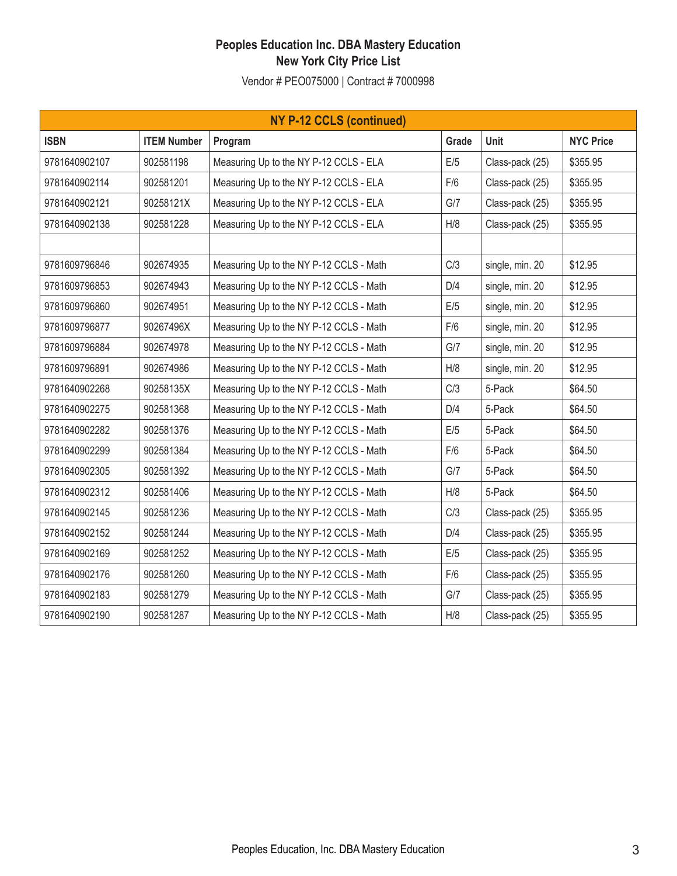| <b>NY P-12 CCLS (continued)</b> |                    |                                         |       |                 |                  |  |  |
|---------------------------------|--------------------|-----------------------------------------|-------|-----------------|------------------|--|--|
| <b>ISBN</b>                     | <b>ITEM Number</b> | Program                                 | Grade | <b>Unit</b>     | <b>NYC Price</b> |  |  |
| 9781640902107                   | 902581198          | Measuring Up to the NY P-12 CCLS - ELA  | E/5   | Class-pack (25) | \$355.95         |  |  |
| 9781640902114                   | 902581201          | Measuring Up to the NY P-12 CCLS - ELA  | F/6   | Class-pack (25) | \$355.95         |  |  |
| 9781640902121                   | 90258121X          | Measuring Up to the NY P-12 CCLS - ELA  | G/7   | Class-pack (25) | \$355.95         |  |  |
| 9781640902138                   | 902581228          | Measuring Up to the NY P-12 CCLS - ELA  | H/8   | Class-pack (25) | \$355.95         |  |  |
|                                 |                    |                                         |       |                 |                  |  |  |
| 9781609796846                   | 902674935          | Measuring Up to the NY P-12 CCLS - Math | C/3   | single, min. 20 | \$12.95          |  |  |
| 9781609796853                   | 902674943          | Measuring Up to the NY P-12 CCLS - Math | D/4   | single, min. 20 | \$12.95          |  |  |
| 9781609796860                   | 902674951          | Measuring Up to the NY P-12 CCLS - Math | E/5   | single, min. 20 | \$12.95          |  |  |
| 9781609796877                   | 90267496X          | Measuring Up to the NY P-12 CCLS - Math | F/6   | single, min. 20 | \$12.95          |  |  |
| 9781609796884                   | 902674978          | Measuring Up to the NY P-12 CCLS - Math | G/7   | single, min. 20 | \$12.95          |  |  |
| 9781609796891                   | 902674986          | Measuring Up to the NY P-12 CCLS - Math | H/8   | single, min. 20 | \$12.95          |  |  |
| 9781640902268                   | 90258135X          | Measuring Up to the NY P-12 CCLS - Math | C/3   | 5-Pack          | \$64.50          |  |  |
| 9781640902275                   | 902581368          | Measuring Up to the NY P-12 CCLS - Math | D/4   | 5-Pack          | \$64.50          |  |  |
| 9781640902282                   | 902581376          | Measuring Up to the NY P-12 CCLS - Math | E/5   | 5-Pack          | \$64.50          |  |  |
| 9781640902299                   | 902581384          | Measuring Up to the NY P-12 CCLS - Math | F/6   | 5-Pack          | \$64.50          |  |  |
| 9781640902305                   | 902581392          | Measuring Up to the NY P-12 CCLS - Math | G/7   | 5-Pack          | \$64.50          |  |  |
| 9781640902312                   | 902581406          | Measuring Up to the NY P-12 CCLS - Math | H/8   | 5-Pack          | \$64.50          |  |  |
| 9781640902145                   | 902581236          | Measuring Up to the NY P-12 CCLS - Math | C/3   | Class-pack (25) | \$355.95         |  |  |
| 9781640902152                   | 902581244          | Measuring Up to the NY P-12 CCLS - Math | D/4   | Class-pack (25) | \$355.95         |  |  |
| 9781640902169                   | 902581252          | Measuring Up to the NY P-12 CCLS - Math | E/5   | Class-pack (25) | \$355.95         |  |  |
| 9781640902176                   | 902581260          | Measuring Up to the NY P-12 CCLS - Math | F/6   | Class-pack (25) | \$355.95         |  |  |
| 9781640902183                   | 902581279          | Measuring Up to the NY P-12 CCLS - Math | G/7   | Class-pack (25) | \$355.95         |  |  |
| 9781640902190                   | 902581287          | Measuring Up to the NY P-12 CCLS - Math | H/8   | Class-pack (25) | \$355.95         |  |  |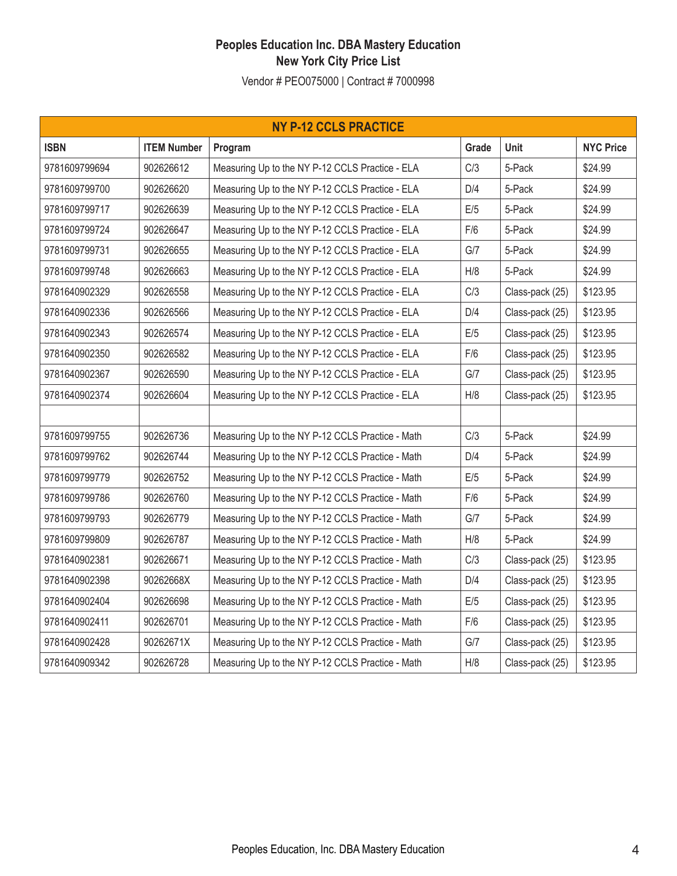| <b>NY P-12 CCLS PRACTICE</b> |                    |                                                  |       |                 |                  |  |  |  |
|------------------------------|--------------------|--------------------------------------------------|-------|-----------------|------------------|--|--|--|
| <b>ISBN</b>                  | <b>ITEM Number</b> | Program                                          | Grade | Unit            | <b>NYC Price</b> |  |  |  |
| 9781609799694                | 902626612          | Measuring Up to the NY P-12 CCLS Practice - ELA  | C/3   | 5-Pack          | \$24.99          |  |  |  |
| 9781609799700                | 902626620          | Measuring Up to the NY P-12 CCLS Practice - ELA  | D/4   | 5-Pack          | \$24.99          |  |  |  |
| 9781609799717                | 902626639          | Measuring Up to the NY P-12 CCLS Practice - ELA  | E/5   | 5-Pack          | \$24.99          |  |  |  |
| 9781609799724                | 902626647          | Measuring Up to the NY P-12 CCLS Practice - ELA  | F/6   | 5-Pack          | \$24.99          |  |  |  |
| 9781609799731                | 902626655          | Measuring Up to the NY P-12 CCLS Practice - ELA  | G/7   | 5-Pack          | \$24.99          |  |  |  |
| 9781609799748                | 902626663          | Measuring Up to the NY P-12 CCLS Practice - ELA  | H/8   | 5-Pack          | \$24.99          |  |  |  |
| 9781640902329                | 902626558          | Measuring Up to the NY P-12 CCLS Practice - ELA  | C/3   | Class-pack (25) | \$123.95         |  |  |  |
| 9781640902336                | 902626566          | Measuring Up to the NY P-12 CCLS Practice - ELA  | D/4   | Class-pack (25) | \$123.95         |  |  |  |
| 9781640902343                | 902626574          | Measuring Up to the NY P-12 CCLS Practice - ELA  | E/5   | Class-pack (25) | \$123.95         |  |  |  |
| 9781640902350                | 902626582          | Measuring Up to the NY P-12 CCLS Practice - ELA  | F/6   | Class-pack (25) | \$123.95         |  |  |  |
| 9781640902367                | 902626590          | Measuring Up to the NY P-12 CCLS Practice - ELA  | G/7   | Class-pack (25) | \$123.95         |  |  |  |
| 9781640902374                | 902626604          | Measuring Up to the NY P-12 CCLS Practice - ELA  | H/8   | Class-pack (25) | \$123.95         |  |  |  |
|                              |                    |                                                  |       |                 |                  |  |  |  |
| 9781609799755                | 902626736          | Measuring Up to the NY P-12 CCLS Practice - Math | C/3   | 5-Pack          | \$24.99          |  |  |  |
| 9781609799762                | 902626744          | Measuring Up to the NY P-12 CCLS Practice - Math | D/4   | 5-Pack          | \$24.99          |  |  |  |
| 9781609799779                | 902626752          | Measuring Up to the NY P-12 CCLS Practice - Math | E/5   | 5-Pack          | \$24.99          |  |  |  |
| 9781609799786                | 902626760          | Measuring Up to the NY P-12 CCLS Practice - Math | F/6   | 5-Pack          | \$24.99          |  |  |  |
| 9781609799793                | 902626779          | Measuring Up to the NY P-12 CCLS Practice - Math | G/7   | 5-Pack          | \$24.99          |  |  |  |
| 9781609799809                | 902626787          | Measuring Up to the NY P-12 CCLS Practice - Math | H/8   | 5-Pack          | \$24.99          |  |  |  |
| 9781640902381                | 902626671          | Measuring Up to the NY P-12 CCLS Practice - Math | C/3   | Class-pack (25) | \$123.95         |  |  |  |
| 9781640902398                | 90262668X          | Measuring Up to the NY P-12 CCLS Practice - Math | D/4   | Class-pack (25) | \$123.95         |  |  |  |
| 9781640902404                | 902626698          | Measuring Up to the NY P-12 CCLS Practice - Math | E/5   | Class-pack (25) | \$123.95         |  |  |  |
| 9781640902411                | 902626701          | Measuring Up to the NY P-12 CCLS Practice - Math | F/6   | Class-pack (25) | \$123.95         |  |  |  |
| 9781640902428                | 90262671X          | Measuring Up to the NY P-12 CCLS Practice - Math | G/7   | Class-pack (25) | \$123.95         |  |  |  |
| 9781640909342                | 902626728          | Measuring Up to the NY P-12 CCLS Practice - Math | H/8   | Class-pack (25) | \$123.95         |  |  |  |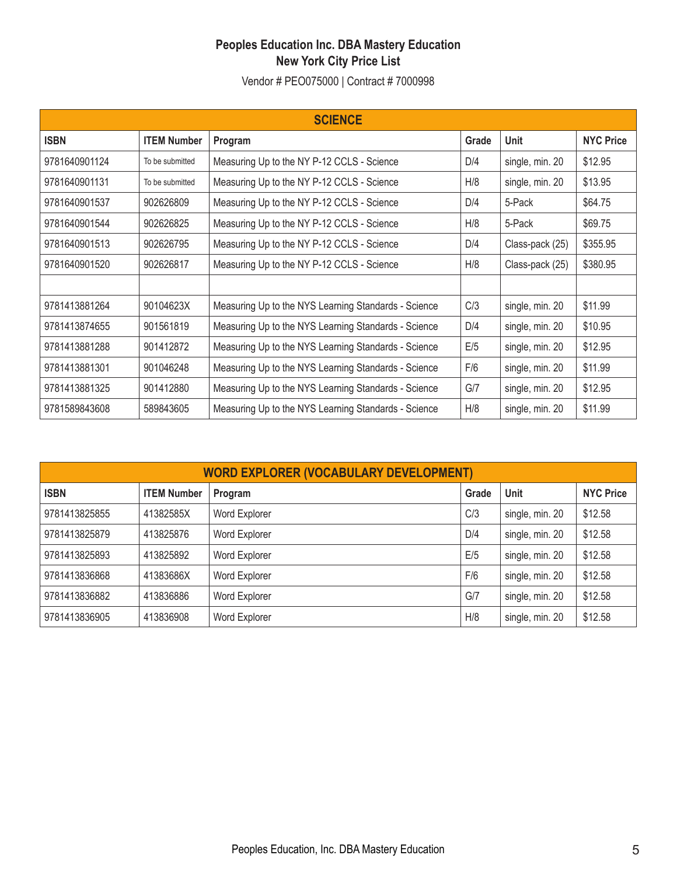| <b>SCIENCE</b> |                    |                                                      |       |                 |                  |  |  |  |
|----------------|--------------------|------------------------------------------------------|-------|-----------------|------------------|--|--|--|
| <b>ISBN</b>    | <b>ITEM Number</b> | Program                                              | Grade | <b>Unit</b>     | <b>NYC Price</b> |  |  |  |
| 9781640901124  | To be submitted    | Measuring Up to the NY P-12 CCLS - Science           | D/4   | single, min. 20 | \$12.95          |  |  |  |
| 9781640901131  | To be submitted    | Measuring Up to the NY P-12 CCLS - Science           | H/8   | single, min. 20 | \$13.95          |  |  |  |
| 9781640901537  | 902626809          | Measuring Up to the NY P-12 CCLS - Science           | D/4   | 5-Pack          | \$64.75          |  |  |  |
| 9781640901544  | 902626825          | Measuring Up to the NY P-12 CCLS - Science           | H/8   | 5-Pack          | \$69.75          |  |  |  |
| 9781640901513  | 902626795          | Measuring Up to the NY P-12 CCLS - Science           | D/4   | Class-pack (25) | \$355.95         |  |  |  |
| 9781640901520  | 902626817          | Measuring Up to the NY P-12 CCLS - Science           | H/8   | Class-pack (25) | \$380.95         |  |  |  |
|                |                    |                                                      |       |                 |                  |  |  |  |
| 9781413881264  | 90104623X          | Measuring Up to the NYS Learning Standards - Science | C/3   | single, min. 20 | \$11.99          |  |  |  |
| 9781413874655  | 901561819          | Measuring Up to the NYS Learning Standards - Science | D/4   | single, min. 20 | \$10.95          |  |  |  |
| 9781413881288  | 901412872          | Measuring Up to the NYS Learning Standards - Science | E/5   | single, min. 20 | \$12.95          |  |  |  |
| 9781413881301  | 901046248          | Measuring Up to the NYS Learning Standards - Science | F/6   | single, min. 20 | \$11.99          |  |  |  |
| 9781413881325  | 901412880          | Measuring Up to the NYS Learning Standards - Science | G/7   | single, min. 20 | \$12.95          |  |  |  |
| 9781589843608  | 589843605          | Measuring Up to the NYS Learning Standards - Science | H/8   | single, min. 20 | \$11.99          |  |  |  |

| <b>WORD EXPLORER (VOCABULARY DEVELOPMENT)</b> |                    |               |       |                 |                  |  |  |  |  |
|-----------------------------------------------|--------------------|---------------|-------|-----------------|------------------|--|--|--|--|
| <b>ISBN</b>                                   | <b>ITEM Number</b> | Program       | Grade | <b>Unit</b>     | <b>NYC Price</b> |  |  |  |  |
| 9781413825855                                 | 41382585X          | Word Explorer | C/3   | single, min. 20 | \$12.58          |  |  |  |  |
| 9781413825879                                 | 413825876          | Word Explorer | D/4   | single, min. 20 | \$12.58          |  |  |  |  |
| 9781413825893                                 | 413825892          | Word Explorer | E/5   | single, min. 20 | \$12.58          |  |  |  |  |
| 9781413836868                                 | 41383686X          | Word Explorer | F/6   | single, min. 20 | \$12.58          |  |  |  |  |
| 9781413836882                                 | 413836886          | Word Explorer | GI7   | single, min. 20 | \$12.58          |  |  |  |  |
| 9781413836905                                 | 413836908          | Word Explorer | H/8   | single, min. 20 | \$12.58          |  |  |  |  |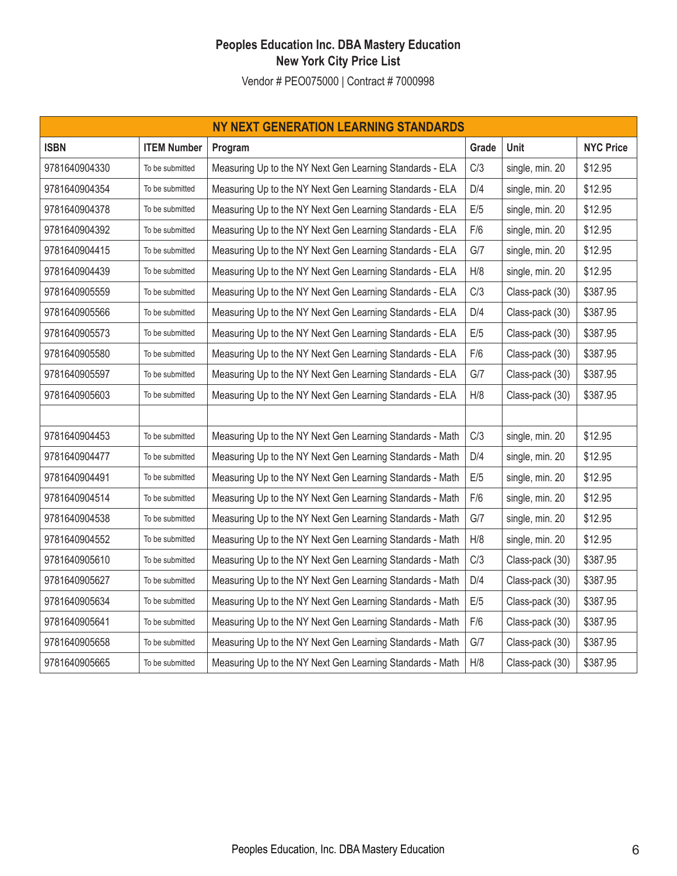| NY NEXT GENERATION LEARNING STANDARDS |                    |                                                           |       |                 |                  |  |  |  |
|---------------------------------------|--------------------|-----------------------------------------------------------|-------|-----------------|------------------|--|--|--|
| <b>ISBN</b>                           | <b>ITEM Number</b> | Program                                                   | Grade | Unit            | <b>NYC Price</b> |  |  |  |
| 9781640904330                         | To be submitted    | Measuring Up to the NY Next Gen Learning Standards - ELA  | C/3   | single, min. 20 | \$12.95          |  |  |  |
| 9781640904354                         | To be submitted    | Measuring Up to the NY Next Gen Learning Standards - ELA  | D/4   | single, min. 20 | \$12.95          |  |  |  |
| 9781640904378                         | To be submitted    | Measuring Up to the NY Next Gen Learning Standards - ELA  | E/5   | single, min. 20 | \$12.95          |  |  |  |
| 9781640904392                         | To be submitted    | Measuring Up to the NY Next Gen Learning Standards - ELA  | F/6   | single, min. 20 | \$12.95          |  |  |  |
| 9781640904415                         | To be submitted    | Measuring Up to the NY Next Gen Learning Standards - ELA  | G/7   | single, min. 20 | \$12.95          |  |  |  |
| 9781640904439                         | To be submitted    | Measuring Up to the NY Next Gen Learning Standards - ELA  | H/8   | single, min. 20 | \$12.95          |  |  |  |
| 9781640905559                         | To be submitted    | Measuring Up to the NY Next Gen Learning Standards - ELA  | C/3   | Class-pack (30) | \$387.95         |  |  |  |
| 9781640905566                         | To be submitted    | Measuring Up to the NY Next Gen Learning Standards - ELA  | D/4   | Class-pack (30) | \$387.95         |  |  |  |
| 9781640905573                         | To be submitted    | Measuring Up to the NY Next Gen Learning Standards - ELA  | E/5   | Class-pack (30) | \$387.95         |  |  |  |
| 9781640905580                         | To be submitted    | Measuring Up to the NY Next Gen Learning Standards - ELA  | F/6   | Class-pack (30) | \$387.95         |  |  |  |
| 9781640905597                         | To be submitted    | Measuring Up to the NY Next Gen Learning Standards - ELA  | G/7   | Class-pack (30) | \$387.95         |  |  |  |
| 9781640905603                         | To be submitted    | Measuring Up to the NY Next Gen Learning Standards - ELA  | H/8   | Class-pack (30) | \$387.95         |  |  |  |
|                                       |                    |                                                           |       |                 |                  |  |  |  |
| 9781640904453                         | To be submitted    | Measuring Up to the NY Next Gen Learning Standards - Math | C/3   | single, min. 20 | \$12.95          |  |  |  |
| 9781640904477                         | To be submitted    | Measuring Up to the NY Next Gen Learning Standards - Math | D/4   | single, min. 20 | \$12.95          |  |  |  |
| 9781640904491                         | To be submitted    | Measuring Up to the NY Next Gen Learning Standards - Math | E/5   | single, min. 20 | \$12.95          |  |  |  |
| 9781640904514                         | To be submitted    | Measuring Up to the NY Next Gen Learning Standards - Math | F/6   | single, min. 20 | \$12.95          |  |  |  |
| 9781640904538                         | To be submitted    | Measuring Up to the NY Next Gen Learning Standards - Math | G/7   | single, min. 20 | \$12.95          |  |  |  |
| 9781640904552                         | To be submitted    | Measuring Up to the NY Next Gen Learning Standards - Math | H/8   | single, min. 20 | \$12.95          |  |  |  |
| 9781640905610                         | To be submitted    | Measuring Up to the NY Next Gen Learning Standards - Math | C/3   | Class-pack (30) | \$387.95         |  |  |  |
| 9781640905627                         | To be submitted    | Measuring Up to the NY Next Gen Learning Standards - Math | D/4   | Class-pack (30) | \$387.95         |  |  |  |
| 9781640905634                         | To be submitted    | Measuring Up to the NY Next Gen Learning Standards - Math | E/5   | Class-pack (30) | \$387.95         |  |  |  |
| 9781640905641                         | To be submitted    | Measuring Up to the NY Next Gen Learning Standards - Math | F/6   | Class-pack (30) | \$387.95         |  |  |  |
| 9781640905658                         | To be submitted    | Measuring Up to the NY Next Gen Learning Standards - Math | G/7   | Class-pack (30) | \$387.95         |  |  |  |
| 9781640905665                         | To be submitted    | Measuring Up to the NY Next Gen Learning Standards - Math | H/8   | Class-pack (30) | \$387.95         |  |  |  |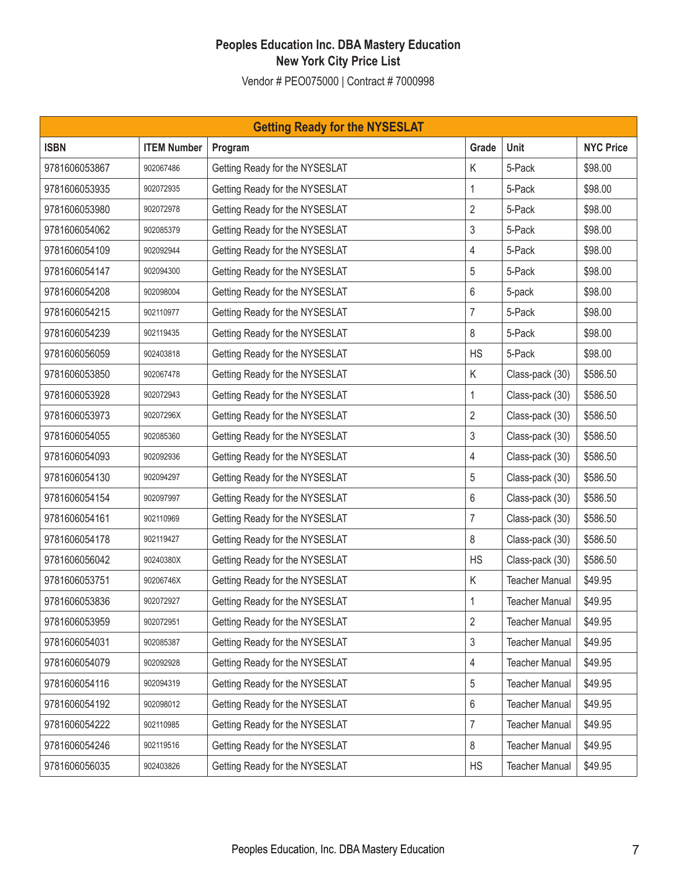| <b>Getting Ready for the NYSESLAT</b> |                    |                                |                |                       |                  |  |  |
|---------------------------------------|--------------------|--------------------------------|----------------|-----------------------|------------------|--|--|
| <b>ISBN</b>                           | <b>ITEM Number</b> | Program                        | Grade          | Unit                  | <b>NYC Price</b> |  |  |
| 9781606053867                         | 902067486          | Getting Ready for the NYSESLAT | K              | 5-Pack                | \$98.00          |  |  |
| 9781606053935                         | 902072935          | Getting Ready for the NYSESLAT | 1              | 5-Pack                | \$98.00          |  |  |
| 9781606053980                         | 902072978          | Getting Ready for the NYSESLAT | $\overline{2}$ | 5-Pack                | \$98.00          |  |  |
| 9781606054062                         | 902085379          | Getting Ready for the NYSESLAT | 3              | 5-Pack                | \$98.00          |  |  |
| 9781606054109                         | 902092944          | Getting Ready for the NYSESLAT | 4              | 5-Pack                | \$98.00          |  |  |
| 9781606054147                         | 902094300          | Getting Ready for the NYSESLAT | 5              | 5-Pack                | \$98.00          |  |  |
| 9781606054208                         | 902098004          | Getting Ready for the NYSESLAT | 6              | 5-pack                | \$98.00          |  |  |
| 9781606054215                         | 902110977          | Getting Ready for the NYSESLAT | $\overline{7}$ | 5-Pack                | \$98.00          |  |  |
| 9781606054239                         | 902119435          | Getting Ready for the NYSESLAT | 8              | 5-Pack                | \$98.00          |  |  |
| 9781606056059                         | 902403818          | Getting Ready for the NYSESLAT | <b>HS</b>      | 5-Pack                | \$98.00          |  |  |
| 9781606053850                         | 902067478          | Getting Ready for the NYSESLAT | K              | Class-pack (30)       | \$586.50         |  |  |
| 9781606053928                         | 902072943          | Getting Ready for the NYSESLAT | $\mathbf{1}$   | Class-pack (30)       | \$586.50         |  |  |
| 9781606053973                         | 90207296X          | Getting Ready for the NYSESLAT | $\overline{2}$ | Class-pack (30)       | \$586.50         |  |  |
| 9781606054055                         | 902085360          | Getting Ready for the NYSESLAT | 3              | Class-pack (30)       | \$586.50         |  |  |
| 9781606054093                         | 902092936          | Getting Ready for the NYSESLAT | 4              | Class-pack (30)       | \$586.50         |  |  |
| 9781606054130                         | 902094297          | Getting Ready for the NYSESLAT | 5              | Class-pack (30)       | \$586.50         |  |  |
| 9781606054154                         | 902097997          | Getting Ready for the NYSESLAT | 6              | Class-pack (30)       | \$586.50         |  |  |
| 9781606054161                         | 902110969          | Getting Ready for the NYSESLAT | $\overline{7}$ | Class-pack (30)       | \$586.50         |  |  |
| 9781606054178                         | 902119427          | Getting Ready for the NYSESLAT | 8              | Class-pack (30)       | \$586.50         |  |  |
| 9781606056042                         | 90240380X          | Getting Ready for the NYSESLAT | <b>HS</b>      | Class-pack (30)       | \$586.50         |  |  |
| 9781606053751                         | 90206746X          | Getting Ready for the NYSESLAT | K              | <b>Teacher Manual</b> | \$49.95          |  |  |
| 9781606053836                         | 902072927          | Getting Ready for the NYSESLAT | 1              | <b>Teacher Manual</b> | \$49.95          |  |  |
| 9781606053959                         | 902072951          | Getting Ready for the NYSESLAT | $\overline{2}$ | <b>Teacher Manual</b> | \$49.95          |  |  |
| 9781606054031                         | 902085387          | Getting Ready for the NYSESLAT | 3              | <b>Teacher Manual</b> | \$49.95          |  |  |
| 9781606054079                         | 902092928          | Getting Ready for the NYSESLAT | 4              | <b>Teacher Manual</b> | \$49.95          |  |  |
| 9781606054116                         | 902094319          | Getting Ready for the NYSESLAT | 5              | <b>Teacher Manual</b> | \$49.95          |  |  |
| 9781606054192                         | 902098012          | Getting Ready for the NYSESLAT | 6              | <b>Teacher Manual</b> | \$49.95          |  |  |
| 9781606054222                         | 902110985          | Getting Ready for the NYSESLAT | $\overline{7}$ | <b>Teacher Manual</b> | \$49.95          |  |  |
| 9781606054246                         | 902119516          | Getting Ready for the NYSESLAT | 8              | <b>Teacher Manual</b> | \$49.95          |  |  |
| 9781606056035                         | 902403826          | Getting Ready for the NYSESLAT | <b>HS</b>      | <b>Teacher Manual</b> | \$49.95          |  |  |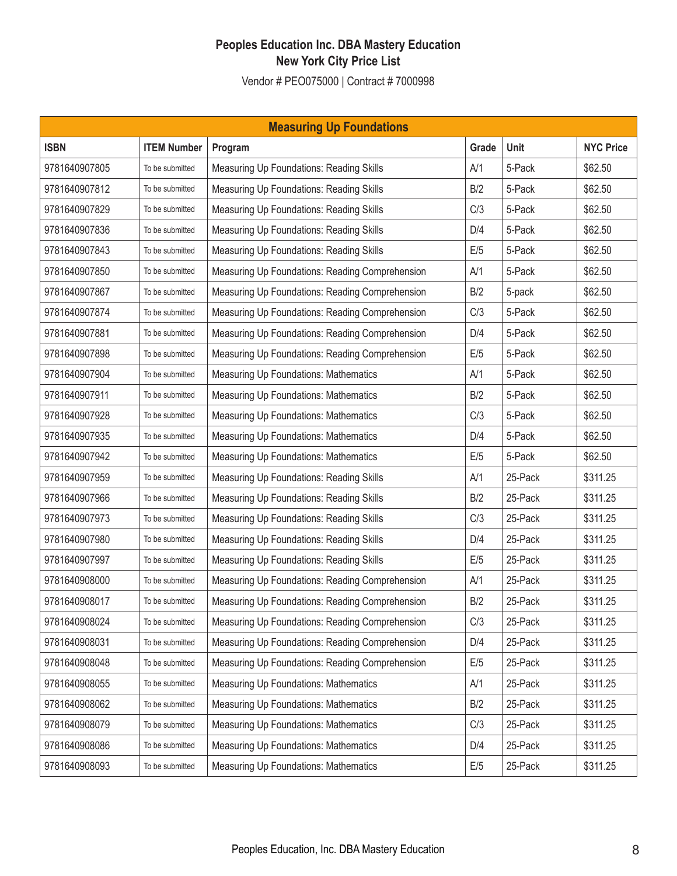| <b>Measuring Up Foundations</b> |                    |                                                 |       |         |                  |  |  |
|---------------------------------|--------------------|-------------------------------------------------|-------|---------|------------------|--|--|
| <b>ISBN</b>                     | <b>ITEM Number</b> | Program                                         | Grade | Unit    | <b>NYC Price</b> |  |  |
| 9781640907805                   | To be submitted    | Measuring Up Foundations: Reading Skills        | A/1   | 5-Pack  | \$62.50          |  |  |
| 9781640907812                   | To be submitted    | Measuring Up Foundations: Reading Skills        | B/2   | 5-Pack  | \$62.50          |  |  |
| 9781640907829                   | To be submitted    | Measuring Up Foundations: Reading Skills        | C/3   | 5-Pack  | \$62.50          |  |  |
| 9781640907836                   | To be submitted    | Measuring Up Foundations: Reading Skills        | D/4   | 5-Pack  | \$62.50          |  |  |
| 9781640907843                   | To be submitted    | Measuring Up Foundations: Reading Skills        | E/5   | 5-Pack  | \$62.50          |  |  |
| 9781640907850                   | To be submitted    | Measuring Up Foundations: Reading Comprehension | A/1   | 5-Pack  | \$62.50          |  |  |
| 9781640907867                   | To be submitted    | Measuring Up Foundations: Reading Comprehension | B/2   | 5-pack  | \$62.50          |  |  |
| 9781640907874                   | To be submitted    | Measuring Up Foundations: Reading Comprehension | C/3   | 5-Pack  | \$62.50          |  |  |
| 9781640907881                   | To be submitted    | Measuring Up Foundations: Reading Comprehension | D/4   | 5-Pack  | \$62.50          |  |  |
| 9781640907898                   | To be submitted    | Measuring Up Foundations: Reading Comprehension | E/5   | 5-Pack  | \$62.50          |  |  |
| 9781640907904                   | To be submitted    | Measuring Up Foundations: Mathematics           | A/1   | 5-Pack  | \$62.50          |  |  |
| 9781640907911                   | To be submitted    | Measuring Up Foundations: Mathematics           | B/2   | 5-Pack  | \$62.50          |  |  |
| 9781640907928                   | To be submitted    | Measuring Up Foundations: Mathematics           | C/3   | 5-Pack  | \$62.50          |  |  |
| 9781640907935                   | To be submitted    | Measuring Up Foundations: Mathematics           | D/4   | 5-Pack  | \$62.50          |  |  |
| 9781640907942                   | To be submitted    | Measuring Up Foundations: Mathematics           | E/5   | 5-Pack  | \$62.50          |  |  |
| 9781640907959                   | To be submitted    | Measuring Up Foundations: Reading Skills        | A/1   | 25-Pack | \$311.25         |  |  |
| 9781640907966                   | To be submitted    | Measuring Up Foundations: Reading Skills        | B/2   | 25-Pack | \$311.25         |  |  |
| 9781640907973                   | To be submitted    | Measuring Up Foundations: Reading Skills        | C/3   | 25-Pack | \$311.25         |  |  |
| 9781640907980                   | To be submitted    | Measuring Up Foundations: Reading Skills        | D/4   | 25-Pack | \$311.25         |  |  |
| 9781640907997                   | To be submitted    | Measuring Up Foundations: Reading Skills        | E/5   | 25-Pack | \$311.25         |  |  |
| 9781640908000                   | To be submitted    | Measuring Up Foundations: Reading Comprehension | A/1   | 25-Pack | \$311.25         |  |  |
| 9781640908017                   | To be submitted    | Measuring Up Foundations: Reading Comprehension | B/2   | 25-Pack | \$311.25         |  |  |
| 9781640908024                   | To be submitted    | Measuring Up Foundations: Reading Comprehension | C/3   | 25-Pack | \$311.25         |  |  |
| 9781640908031                   | To be submitted    | Measuring Up Foundations: Reading Comprehension | D/4   | 25-Pack | \$311.25         |  |  |
| 9781640908048                   | To be submitted    | Measuring Up Foundations: Reading Comprehension | E/5   | 25-Pack | \$311.25         |  |  |
| 9781640908055                   | To be submitted    | Measuring Up Foundations: Mathematics           | A/1   | 25-Pack | \$311.25         |  |  |
| 9781640908062                   | To be submitted    | Measuring Up Foundations: Mathematics           | B/2   | 25-Pack | \$311.25         |  |  |
| 9781640908079                   | To be submitted    | Measuring Up Foundations: Mathematics           | C/3   | 25-Pack | \$311.25         |  |  |
| 9781640908086                   | To be submitted    | Measuring Up Foundations: Mathematics           | D/4   | 25-Pack | \$311.25         |  |  |
| 9781640908093                   | To be submitted    | Measuring Up Foundations: Mathematics           | E/5   | 25-Pack | \$311.25         |  |  |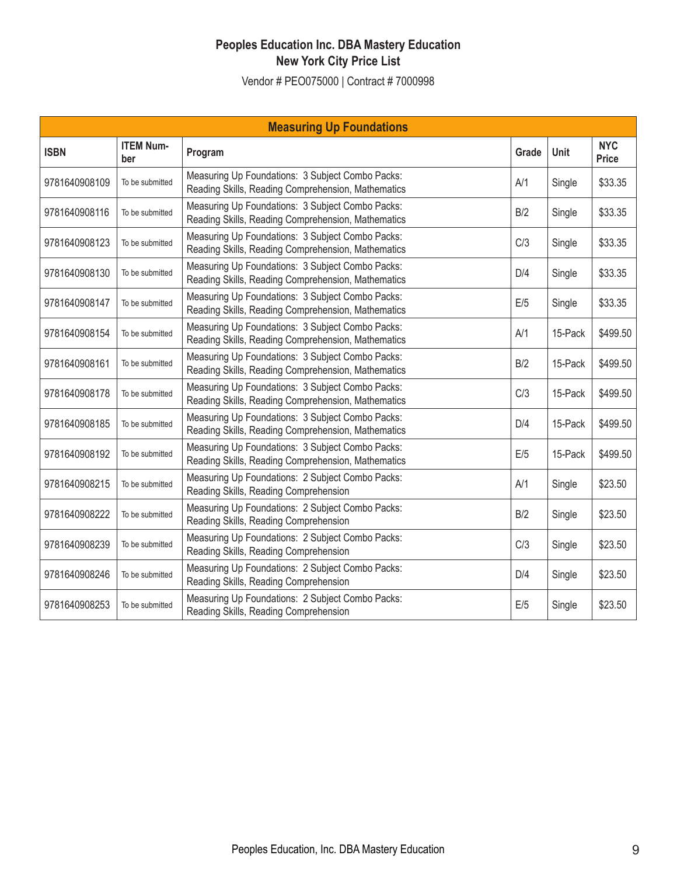| <b>Measuring Up Foundations</b> |                         |                                                                                                        |       |         |                            |  |  |  |
|---------------------------------|-------------------------|--------------------------------------------------------------------------------------------------------|-------|---------|----------------------------|--|--|--|
| <b>ISBN</b>                     | <b>ITEM Num-</b><br>ber | Program                                                                                                | Grade | Unit    | <b>NYC</b><br><b>Price</b> |  |  |  |
| 9781640908109                   | To be submitted         | Measuring Up Foundations: 3 Subject Combo Packs:<br>Reading Skills, Reading Comprehension, Mathematics | A/1   | Single  | \$33.35                    |  |  |  |
| 9781640908116                   | To be submitted         | Measuring Up Foundations: 3 Subject Combo Packs:<br>Reading Skills, Reading Comprehension, Mathematics | B/2   | Single  | \$33.35                    |  |  |  |
| 9781640908123                   | To be submitted         | Measuring Up Foundations: 3 Subject Combo Packs:<br>Reading Skills, Reading Comprehension, Mathematics | C/3   | Single  | \$33.35                    |  |  |  |
| 9781640908130                   | To be submitted         | Measuring Up Foundations: 3 Subject Combo Packs:<br>Reading Skills, Reading Comprehension, Mathematics | D/4   | Single  | \$33.35                    |  |  |  |
| 9781640908147                   | To be submitted         | Measuring Up Foundations: 3 Subject Combo Packs:<br>Reading Skills, Reading Comprehension, Mathematics | E/5   | Single  | \$33.35                    |  |  |  |
| 9781640908154                   | To be submitted         | Measuring Up Foundations: 3 Subject Combo Packs:<br>Reading Skills, Reading Comprehension, Mathematics | A/1   | 15-Pack | \$499.50                   |  |  |  |
| 9781640908161                   | To be submitted         | Measuring Up Foundations: 3 Subject Combo Packs:<br>Reading Skills, Reading Comprehension, Mathematics | B/2   | 15-Pack | \$499.50                   |  |  |  |
| 9781640908178                   | To be submitted         | Measuring Up Foundations: 3 Subject Combo Packs:<br>Reading Skills, Reading Comprehension, Mathematics | C/3   | 15-Pack | \$499.50                   |  |  |  |
| 9781640908185                   | To be submitted         | Measuring Up Foundations: 3 Subject Combo Packs:<br>Reading Skills, Reading Comprehension, Mathematics | D/4   | 15-Pack | \$499.50                   |  |  |  |
| 9781640908192                   | To be submitted         | Measuring Up Foundations: 3 Subject Combo Packs:<br>Reading Skills, Reading Comprehension, Mathematics | E/5   | 15-Pack | \$499.50                   |  |  |  |
| 9781640908215                   | To be submitted         | Measuring Up Foundations: 2 Subject Combo Packs:<br>Reading Skills, Reading Comprehension              | A/1   | Single  | \$23.50                    |  |  |  |
| 9781640908222                   | To be submitted         | Measuring Up Foundations: 2 Subject Combo Packs:<br>Reading Skills, Reading Comprehension              | B/2   | Single  | \$23.50                    |  |  |  |
| 9781640908239                   | To be submitted         | Measuring Up Foundations: 2 Subject Combo Packs:<br>Reading Skills, Reading Comprehension              | C/3   | Single  | \$23.50                    |  |  |  |
| 9781640908246                   | To be submitted         | Measuring Up Foundations: 2 Subject Combo Packs:<br>Reading Skills, Reading Comprehension              | D/4   | Single  | \$23.50                    |  |  |  |
| 9781640908253                   | To be submitted         | Measuring Up Foundations: 2 Subject Combo Packs:<br>Reading Skills, Reading Comprehension              | E/5   | Single  | \$23.50                    |  |  |  |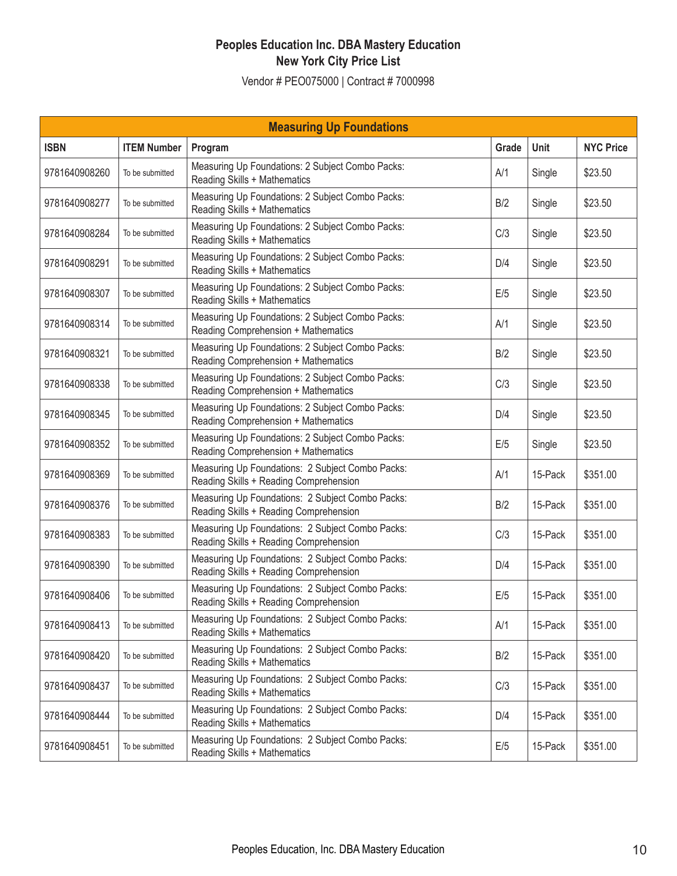| <b>Measuring Up Foundations</b> |                    |                                                                                            |       |         |                  |  |  |  |
|---------------------------------|--------------------|--------------------------------------------------------------------------------------------|-------|---------|------------------|--|--|--|
| <b>ISBN</b>                     | <b>ITEM Number</b> | Program                                                                                    | Grade | Unit    | <b>NYC Price</b> |  |  |  |
| 9781640908260                   | To be submitted    | Measuring Up Foundations: 2 Subject Combo Packs:<br>Reading Skills + Mathematics           | A/1   | Single  | \$23.50          |  |  |  |
| 9781640908277                   | To be submitted    | Measuring Up Foundations: 2 Subject Combo Packs:<br>Reading Skills + Mathematics           | B/2   | Single  | \$23.50          |  |  |  |
| 9781640908284                   | To be submitted    | Measuring Up Foundations: 2 Subject Combo Packs:<br>Reading Skills + Mathematics           | C/3   | Single  | \$23.50          |  |  |  |
| 9781640908291                   | To be submitted    | Measuring Up Foundations: 2 Subject Combo Packs:<br>Reading Skills + Mathematics           | D/4   | Single  | \$23.50          |  |  |  |
| 9781640908307                   | To be submitted    | Measuring Up Foundations: 2 Subject Combo Packs:<br>Reading Skills + Mathematics           | E/5   | Single  | \$23.50          |  |  |  |
| 9781640908314                   | To be submitted    | Measuring Up Foundations: 2 Subject Combo Packs:<br>Reading Comprehension + Mathematics    | A/1   | Single  | \$23.50          |  |  |  |
| 9781640908321                   | To be submitted    | Measuring Up Foundations: 2 Subject Combo Packs:<br>Reading Comprehension + Mathematics    | B/2   | Single  | \$23.50          |  |  |  |
| 9781640908338                   | To be submitted    | Measuring Up Foundations: 2 Subject Combo Packs:<br>Reading Comprehension + Mathematics    | C/3   | Single  | \$23.50          |  |  |  |
| 9781640908345                   | To be submitted    | Measuring Up Foundations: 2 Subject Combo Packs:<br>Reading Comprehension + Mathematics    | D/4   | Single  | \$23.50          |  |  |  |
| 9781640908352                   | To be submitted    | Measuring Up Foundations: 2 Subject Combo Packs:<br>Reading Comprehension + Mathematics    | E/5   | Single  | \$23.50          |  |  |  |
| 9781640908369                   | To be submitted    | Measuring Up Foundations: 2 Subject Combo Packs:<br>Reading Skills + Reading Comprehension | A/1   | 15-Pack | \$351.00         |  |  |  |
| 9781640908376                   | To be submitted    | Measuring Up Foundations: 2 Subject Combo Packs:<br>Reading Skills + Reading Comprehension | B/2   | 15-Pack | \$351.00         |  |  |  |
| 9781640908383                   | To be submitted    | Measuring Up Foundations: 2 Subject Combo Packs:<br>Reading Skills + Reading Comprehension | C/3   | 15-Pack | \$351.00         |  |  |  |
| 9781640908390                   | To be submitted    | Measuring Up Foundations: 2 Subject Combo Packs:<br>Reading Skills + Reading Comprehension | D/4   | 15-Pack | \$351.00         |  |  |  |
| 9781640908406                   | To be submitted    | Measuring Up Foundations: 2 Subject Combo Packs:<br>Reading Skills + Reading Comprehension | E/5   | 15-Pack | \$351.00         |  |  |  |
| 9781640908413                   | To be submitted    | Measuring Up Foundations: 2 Subject Combo Packs:<br>Reading Skills + Mathematics           | A/1   | 15-Pack | \$351.00         |  |  |  |
| 9781640908420                   | To be submitted    | Measuring Up Foundations: 2 Subject Combo Packs:<br>Reading Skills + Mathematics           | B/2   | 15-Pack | \$351.00         |  |  |  |
| 9781640908437                   | To be submitted    | Measuring Up Foundations: 2 Subject Combo Packs:<br>Reading Skills + Mathematics           | C/3   | 15-Pack | \$351.00         |  |  |  |
| 9781640908444                   | To be submitted    | Measuring Up Foundations: 2 Subject Combo Packs:<br>Reading Skills + Mathematics           | D/4   | 15-Pack | \$351.00         |  |  |  |
| 9781640908451                   | To be submitted    | Measuring Up Foundations: 2 Subject Combo Packs:<br>Reading Skills + Mathematics           | E/5   | 15-Pack | \$351.00         |  |  |  |